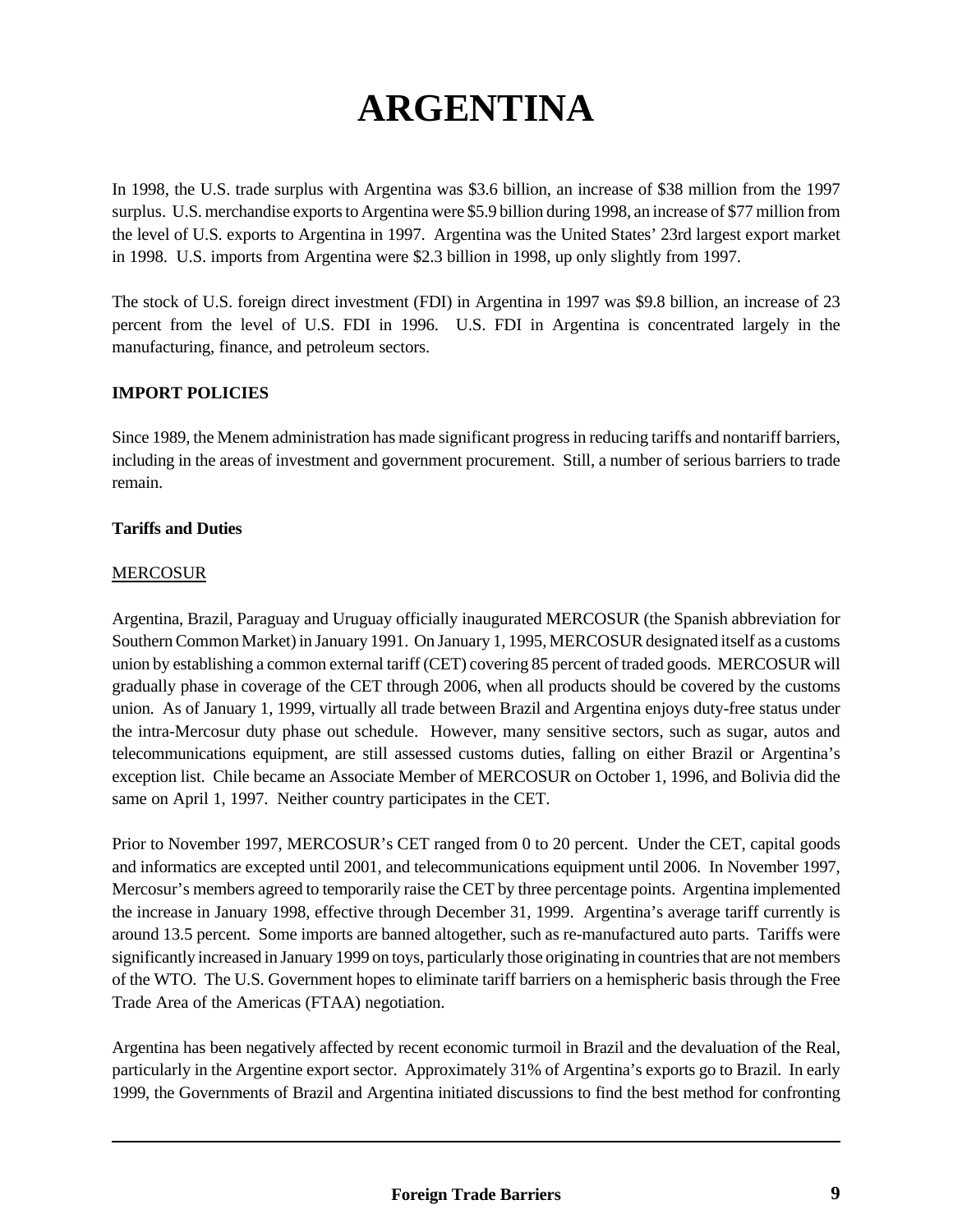# **ARGENTINA**

In 1998, the U.S. trade surplus with Argentina was \$3.6 billion, an increase of \$38 million from the 1997 surplus. U.S. merchandise exports to Argentina were \$5.9 billion during 1998, an increase of \$77 million from the level of U.S. exports to Argentina in 1997. Argentina was the United States' 23rd largest export market in 1998. U.S. imports from Argentina were \$2.3 billion in 1998, up only slightly from 1997.

The stock of U.S. foreign direct investment (FDI) in Argentina in 1997 was \$9.8 billion, an increase of 23 percent from the level of U.S. FDI in 1996. U.S. FDI in Argentina is concentrated largely in the manufacturing, finance, and petroleum sectors.

# **IMPORT POLICIES**

Since 1989, the Menem administration has made significant progress in reducing tariffs and nontariff barriers, including in the areas of investment and government procurement. Still, a number of serious barriers to trade remain.

# **Tariffs and Duties**

# MERCOSUR

Argentina, Brazil, Paraguay and Uruguay officially inaugurated MERCOSUR (the Spanish abbreviation for Southern Common Market) in January 1991. On January 1, 1995, MERCOSUR designated itself as a customs union by establishing a common external tariff (CET) covering 85 percent of traded goods. MERCOSUR will gradually phase in coverage of the CET through 2006, when all products should be covered by the customs union. As of January 1, 1999, virtually all trade between Brazil and Argentina enjoys duty-free status under the intra-Mercosur duty phase out schedule. However, many sensitive sectors, such as sugar, autos and telecommunications equipment, are still assessed customs duties, falling on either Brazil or Argentina's exception list. Chile became an Associate Member of MERCOSUR on October 1, 1996, and Bolivia did the same on April 1, 1997. Neither country participates in the CET.

Prior to November 1997, MERCOSUR's CET ranged from 0 to 20 percent. Under the CET, capital goods and informatics are excepted until 2001, and telecommunications equipment until 2006. In November 1997, Mercosur's members agreed to temporarily raise the CET by three percentage points. Argentina implemented the increase in January 1998, effective through December 31, 1999. Argentina's average tariff currently is around 13.5 percent. Some imports are banned altogether, such as re-manufactured auto parts. Tariffs were significantly increased in January 1999 on toys, particularly those originating in countries that are not members of the WTO. The U.S. Government hopes to eliminate tariff barriers on a hemispheric basis through the Free Trade Area of the Americas (FTAA) negotiation.

Argentina has been negatively affected by recent economic turmoil in Brazil and the devaluation of the Real, particularly in the Argentine export sector. Approximately 31% of Argentina's exports go to Brazil. In early 1999, the Governments of Brazil and Argentina initiated discussions to find the best method for confronting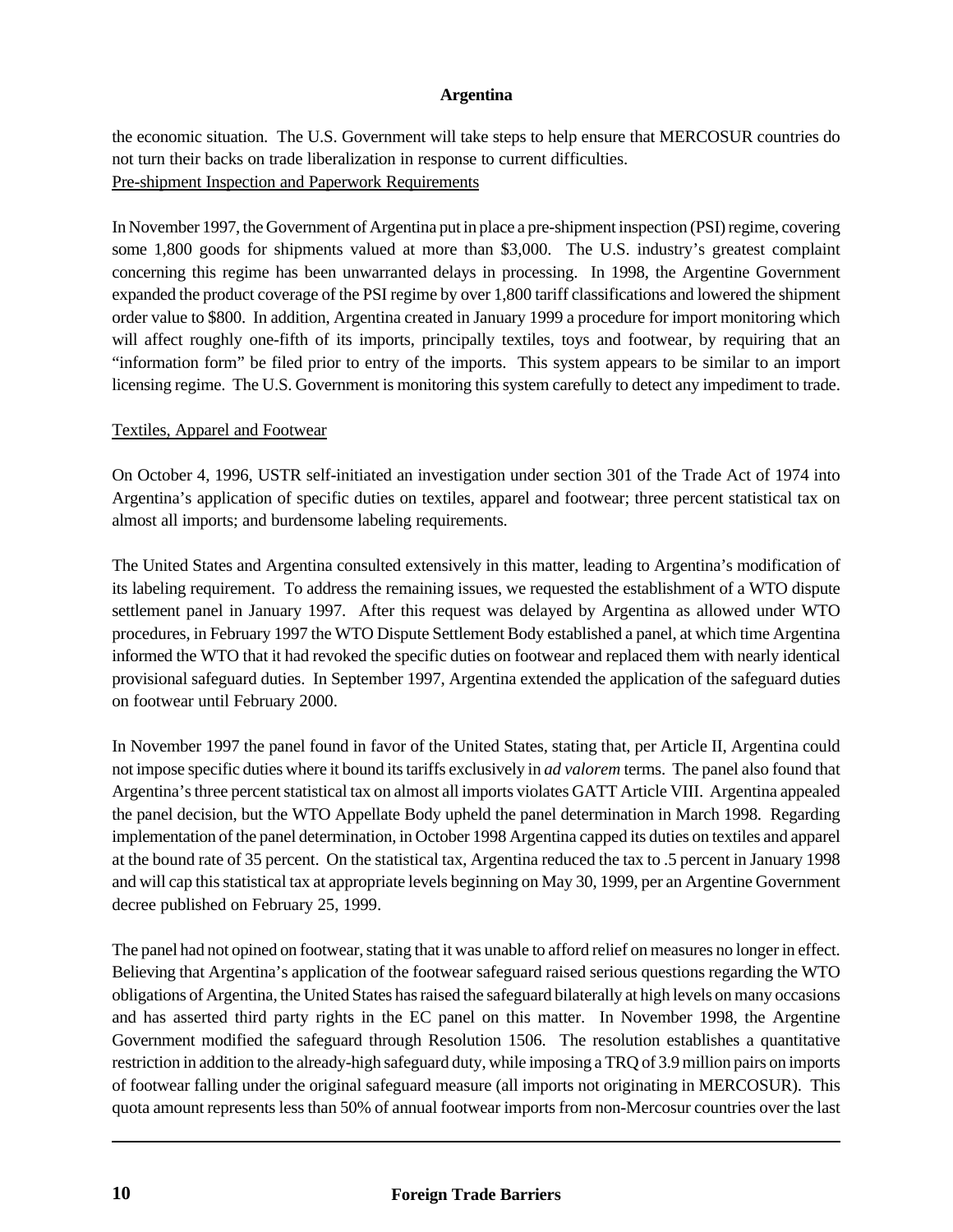the economic situation. The U.S. Government will take steps to help ensure that MERCOSUR countries do not turn their backs on trade liberalization in response to current difficulties. Pre-shipment Inspection and Paperwork Requirements

In November 1997, the Government of Argentina put in place a pre-shipment inspection (PSI) regime, covering some 1,800 goods for shipments valued at more than \$3,000. The U.S. industry's greatest complaint concerning this regime has been unwarranted delays in processing. In 1998, the Argentine Government expanded the product coverage of the PSI regime by over 1,800 tariff classifications and lowered the shipment order value to \$800. In addition, Argentina created in January 1999 a procedure for import monitoring which will affect roughly one-fifth of its imports, principally textiles, toys and footwear, by requiring that an "information form" be filed prior to entry of the imports. This system appears to be similar to an import licensing regime. The U.S. Government is monitoring this system carefully to detect any impediment to trade.

## Textiles, Apparel and Footwear

On October 4, 1996, USTR self-initiated an investigation under section 301 of the Trade Act of 1974 into Argentina's application of specific duties on textiles, apparel and footwear; three percent statistical tax on almost all imports; and burdensome labeling requirements.

The United States and Argentina consulted extensively in this matter, leading to Argentina's modification of its labeling requirement. To address the remaining issues, we requested the establishment of a WTO dispute settlement panel in January 1997. After this request was delayed by Argentina as allowed under WTO procedures, in February 1997 the WTO Dispute Settlement Body established a panel, at which time Argentina informed the WTO that it had revoked the specific duties on footwear and replaced them with nearly identical provisional safeguard duties. In September 1997, Argentina extended the application of the safeguard duties on footwear until February 2000.

In November 1997 the panel found in favor of the United States, stating that, per Article II, Argentina could not impose specific duties where it bound its tariffs exclusively in *ad valorem* terms. The panel also found that Argentina's three percent statistical tax on almost all imports violates GATT Article VIII. Argentina appealed the panel decision, but the WTO Appellate Body upheld the panel determination in March 1998. Regarding implementation of the panel determination, in October 1998 Argentina capped its duties on textiles and apparel at the bound rate of 35 percent. On the statistical tax, Argentina reduced the tax to .5 percent in January 1998 and will cap this statistical tax at appropriate levels beginning on May 30, 1999, per an Argentine Government decree published on February 25, 1999.

The panel had not opined on footwear, stating that it was unable to afford relief on measures no longer in effect. Believing that Argentina's application of the footwear safeguard raised serious questions regarding the WTO obligations of Argentina, the United States has raised the safeguard bilaterally at high levels on many occasions and has asserted third party rights in the EC panel on this matter. In November 1998, the Argentine Government modified the safeguard through Resolution 1506. The resolution establishes a quantitative restriction in addition to the already-high safeguard duty, while imposing a TRQ of 3.9 million pairs on imports of footwear falling under the original safeguard measure (all imports not originating in MERCOSUR). This quota amount represents less than 50% of annual footwear imports from non-Mercosur countries over the last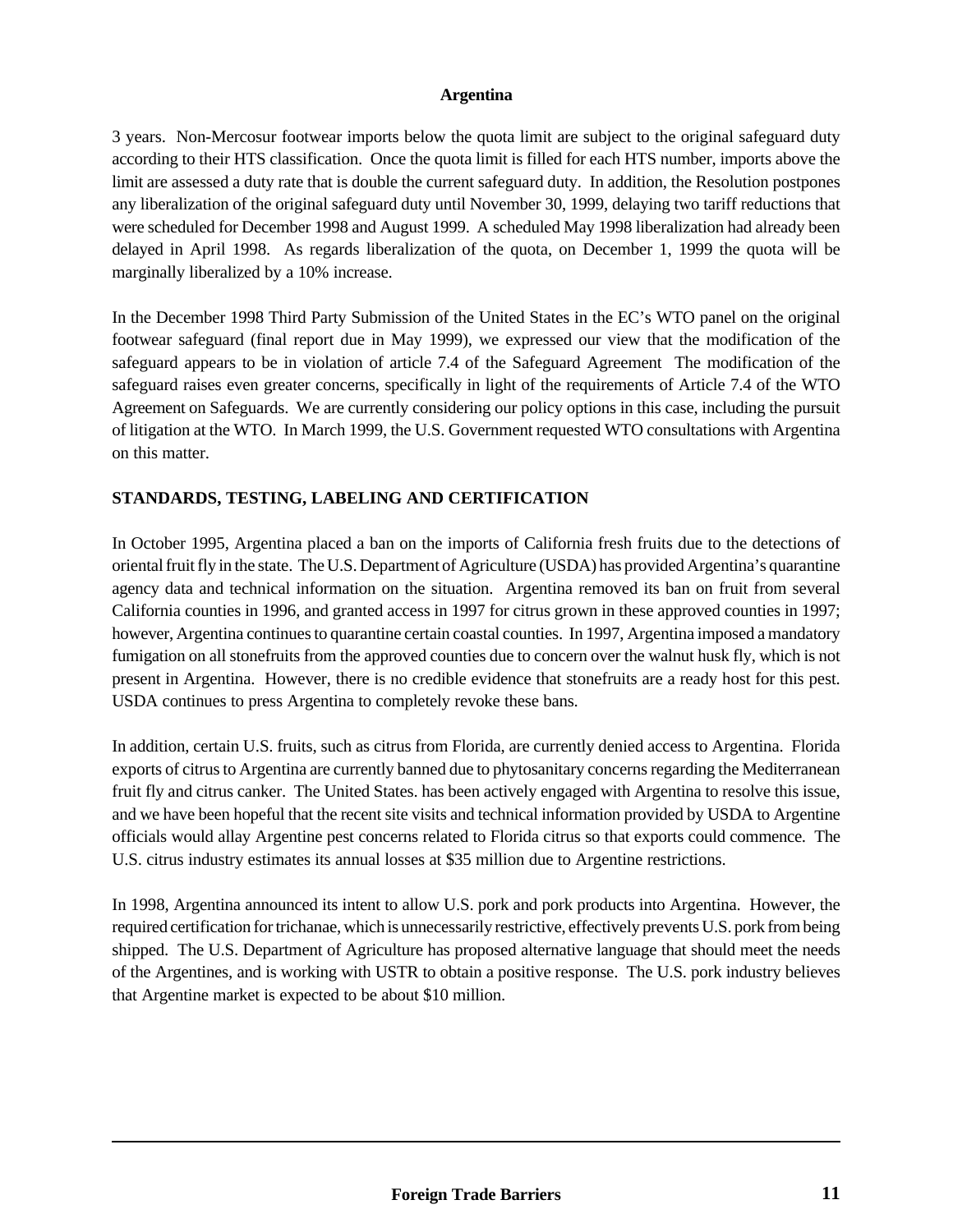3 years. Non-Mercosur footwear imports below the quota limit are subject to the original safeguard duty according to their HTS classification. Once the quota limit is filled for each HTS number, imports above the limit are assessed a duty rate that is double the current safeguard duty. In addition, the Resolution postpones any liberalization of the original safeguard duty until November 30, 1999, delaying two tariff reductions that were scheduled for December 1998 and August 1999. A scheduled May 1998 liberalization had already been delayed in April 1998. As regards liberalization of the quota, on December 1, 1999 the quota will be marginally liberalized by a 10% increase.

In the December 1998 Third Party Submission of the United States in the EC's WTO panel on the original footwear safeguard (final report due in May 1999), we expressed our view that the modification of the safeguard appears to be in violation of article 7.4 of the Safeguard Agreement The modification of the safeguard raises even greater concerns, specifically in light of the requirements of Article 7.4 of the WTO Agreement on Safeguards. We are currently considering our policy options in this case, including the pursuit of litigation at the WTO. In March 1999, the U.S. Government requested WTO consultations with Argentina on this matter.

# **STANDARDS, TESTING, LABELING AND CERTIFICATION**

In October 1995, Argentina placed a ban on the imports of California fresh fruits due to the detections of oriental fruit fly in the state. The U.S. Department of Agriculture (USDA) has provided Argentina's quarantine agency data and technical information on the situation. Argentina removed its ban on fruit from several California counties in 1996, and granted access in 1997 for citrus grown in these approved counties in 1997; however, Argentina continues to quarantine certain coastal counties. In 1997, Argentina imposed a mandatory fumigation on all stonefruits from the approved counties due to concern over the walnut husk fly, which is not present in Argentina. However, there is no credible evidence that stonefruits are a ready host for this pest. USDA continues to press Argentina to completely revoke these bans.

In addition, certain U.S. fruits, such as citrus from Florida, are currently denied access to Argentina. Florida exports of citrus to Argentina are currently banned due to phytosanitary concerns regarding the Mediterranean fruit fly and citrus canker. The United States. has been actively engaged with Argentina to resolve this issue, and we have been hopeful that the recent site visits and technical information provided by USDA to Argentine officials would allay Argentine pest concerns related to Florida citrus so that exports could commence. The U.S. citrus industry estimates its annual losses at \$35 million due to Argentine restrictions.

In 1998, Argentina announced its intent to allow U.S. pork and pork products into Argentina. However, the required certification for trichanae, which is unnecessarily restrictive, effectively prevents U.S. pork from being shipped. The U.S. Department of Agriculture has proposed alternative language that should meet the needs of the Argentines, and is working with USTR to obtain a positive response. The U.S. pork industry believes that Argentine market is expected to be about \$10 million.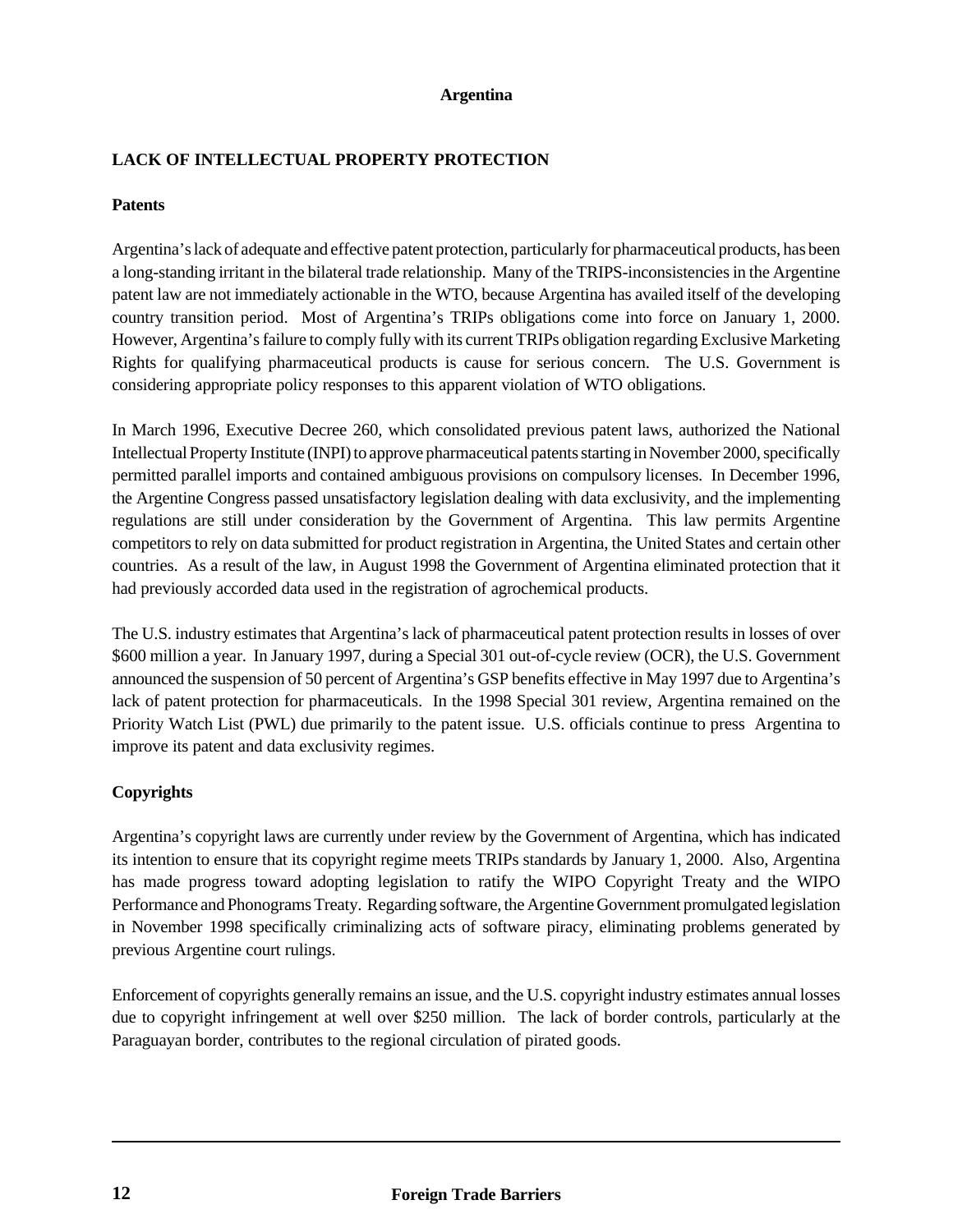# **LACK OF INTELLECTUAL PROPERTY PROTECTION**

## **Patents**

Argentina's lack of adequate and effective patent protection, particularly for pharmaceutical products, has been a long-standing irritant in the bilateral trade relationship. Many of the TRIPS-inconsistencies in the Argentine patent law are not immediately actionable in the WTO, because Argentina has availed itself of the developing country transition period. Most of Argentina's TRIPs obligations come into force on January 1, 2000. However, Argentina's failure to comply fully with its current TRIPs obligation regarding Exclusive Marketing Rights for qualifying pharmaceutical products is cause for serious concern. The U.S. Government is considering appropriate policy responses to this apparent violation of WTO obligations.

In March 1996, Executive Decree 260, which consolidated previous patent laws, authorized the National Intellectual Property Institute (INPI) to approve pharmaceutical patents starting in November 2000, specifically permitted parallel imports and contained ambiguous provisions on compulsory licenses. In December 1996, the Argentine Congress passed unsatisfactory legislation dealing with data exclusivity, and the implementing regulations are still under consideration by the Government of Argentina. This law permits Argentine competitors to rely on data submitted for product registration in Argentina, the United States and certain other countries. As a result of the law, in August 1998 the Government of Argentina eliminated protection that it had previously accorded data used in the registration of agrochemical products.

The U.S. industry estimates that Argentina's lack of pharmaceutical patent protection results in losses of over \$600 million a year. In January 1997, during a Special 301 out-of-cycle review (OCR), the U.S. Government announced the suspension of 50 percent of Argentina's GSP benefits effective in May 1997 due to Argentina's lack of patent protection for pharmaceuticals. In the 1998 Special 301 review, Argentina remained on the Priority Watch List (PWL) due primarily to the patent issue. U.S. officials continue to press Argentina to improve its patent and data exclusivity regimes.

# **Copyrights**

Argentina's copyright laws are currently under review by the Government of Argentina, which has indicated its intention to ensure that its copyright regime meets TRIPs standards by January 1, 2000. Also, Argentina has made progress toward adopting legislation to ratify the WIPO Copyright Treaty and the WIPO Performance and Phonograms Treaty. Regarding software, the Argentine Government promulgated legislation in November 1998 specifically criminalizing acts of software piracy, eliminating problems generated by previous Argentine court rulings.

Enforcement of copyrights generally remains an issue, and the U.S. copyright industry estimates annual losses due to copyright infringement at well over \$250 million. The lack of border controls, particularly at the Paraguayan border, contributes to the regional circulation of pirated goods.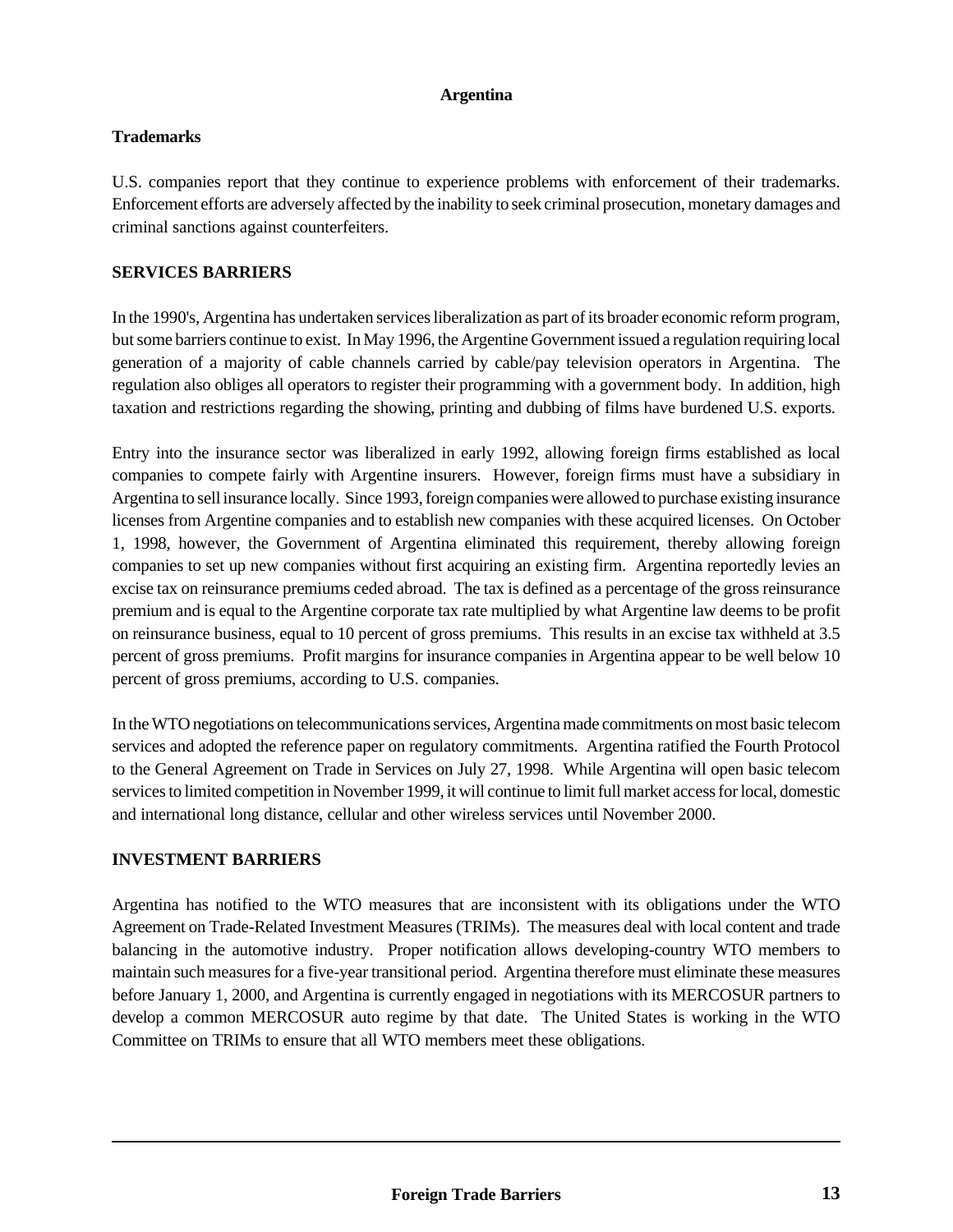# **Trademarks**

U.S. companies report that they continue to experience problems with enforcement of their trademarks. Enforcement efforts are adversely affected by the inability to seek criminal prosecution, monetary damages and criminal sanctions against counterfeiters.

# **SERVICES BARRIERS**

In the 1990's, Argentina has undertaken services liberalization as part of its broader economic reform program, but some barriers continue to exist. In May 1996, the Argentine Government issued a regulation requiring local generation of a majority of cable channels carried by cable/pay television operators in Argentina. The regulation also obliges all operators to register their programming with a government body. In addition, high taxation and restrictions regarding the showing, printing and dubbing of films have burdened U.S. exports.

Entry into the insurance sector was liberalized in early 1992, allowing foreign firms established as local companies to compete fairly with Argentine insurers. However, foreign firms must have a subsidiary in Argentina to sell insurance locally. Since 1993, foreign companies were allowed to purchase existing insurance licenses from Argentine companies and to establish new companies with these acquired licenses. On October 1, 1998, however, the Government of Argentina eliminated this requirement, thereby allowing foreign companies to set up new companies without first acquiring an existing firm. Argentina reportedly levies an excise tax on reinsurance premiums ceded abroad. The tax is defined as a percentage of the gross reinsurance premium and is equal to the Argentine corporate tax rate multiplied by what Argentine law deems to be profit on reinsurance business, equal to 10 percent of gross premiums. This results in an excise tax withheld at 3.5 percent of gross premiums. Profit margins for insurance companies in Argentina appear to be well below 10 percent of gross premiums, according to U.S. companies.

In the WTO negotiations on telecommunications services, Argentina made commitments on most basic telecom services and adopted the reference paper on regulatory commitments. Argentina ratified the Fourth Protocol to the General Agreement on Trade in Services on July 27, 1998. While Argentina will open basic telecom services to limited competition in November 1999, it will continue to limit full market access for local, domestic and international long distance, cellular and other wireless services until November 2000.

# **INVESTMENT BARRIERS**

Argentina has notified to the WTO measures that are inconsistent with its obligations under the WTO Agreement on Trade-Related Investment Measures (TRIMs). The measures deal with local content and trade balancing in the automotive industry. Proper notification allows developing-country WTO members to maintain such measures for a five-year transitional period. Argentina therefore must eliminate these measures before January 1, 2000, and Argentina is currently engaged in negotiations with its MERCOSUR partners to develop a common MERCOSUR auto regime by that date. The United States is working in the WTO Committee on TRIMs to ensure that all WTO members meet these obligations.